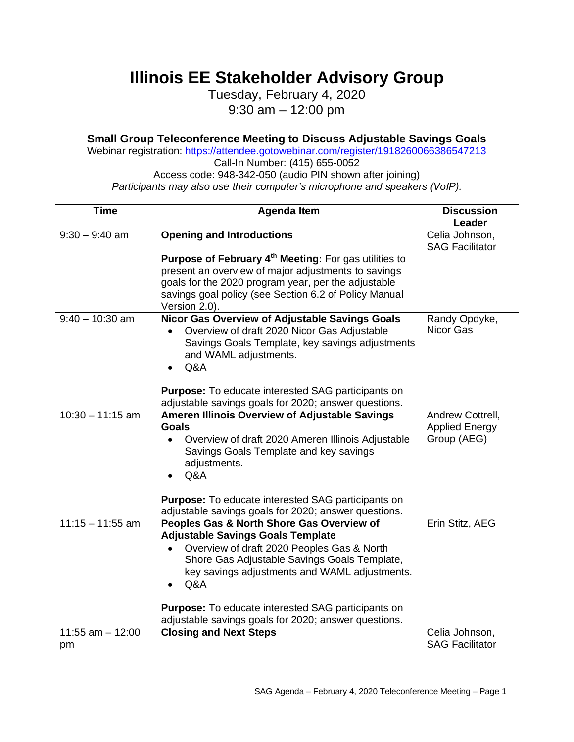**Illinois EE Stakeholder Advisory Group**

Tuesday, February 4, 2020 9:30 am – 12:00 pm

## **Small Group Teleconference Meeting to Discuss Adjustable Savings Goals**

Webinar registration: <https://attendee.gotowebinar.com/register/1918260066386547213>

Call-In Number: (415) 655-0052 Access code: 948-342-050 (audio PIN shown after joining) *Participants may also use their computer's microphone and speakers (VoIP).*

| <b>Time</b>         | <b>Agenda Item</b>                                                                                                                                                                                                                                                                                                                                               | <b>Discussion</b>                                        |
|---------------------|------------------------------------------------------------------------------------------------------------------------------------------------------------------------------------------------------------------------------------------------------------------------------------------------------------------------------------------------------------------|----------------------------------------------------------|
|                     |                                                                                                                                                                                                                                                                                                                                                                  | Leader                                                   |
| $9:30 - 9:40$ am    | <b>Opening and Introductions</b>                                                                                                                                                                                                                                                                                                                                 | Celia Johnson,<br><b>SAG Facilitator</b>                 |
|                     | Purpose of February 4 <sup>th</sup> Meeting: For gas utilities to<br>present an overview of major adjustments to savings<br>goals for the 2020 program year, per the adjustable<br>savings goal policy (see Section 6.2 of Policy Manual<br>Version 2.0).                                                                                                        |                                                          |
| $9:40 - 10:30$ am   | Nicor Gas Overview of Adjustable Savings Goals<br>Overview of draft 2020 Nicor Gas Adjustable<br>Savings Goals Template, key savings adjustments<br>and WAML adjustments.<br>Q&A<br><b>Purpose:</b> To educate interested SAG participants on                                                                                                                    | Randy Opdyke,<br>Nicor Gas                               |
|                     | adjustable savings goals for 2020; answer questions.                                                                                                                                                                                                                                                                                                             |                                                          |
| $10:30 - 11:15$ am  | <b>Ameren Illinois Overview of Adjustable Savings</b><br><b>Goals</b><br>Overview of draft 2020 Ameren Illinois Adjustable<br>Savings Goals Template and key savings<br>adjustments.<br>Q&A                                                                                                                                                                      | Andrew Cottrell,<br><b>Applied Energy</b><br>Group (AEG) |
|                     | <b>Purpose:</b> To educate interested SAG participants on<br>adjustable savings goals for 2020; answer questions.                                                                                                                                                                                                                                                |                                                          |
| $11:15 - 11:55$ am  | Peoples Gas & North Shore Gas Overview of<br><b>Adjustable Savings Goals Template</b><br>Overview of draft 2020 Peoples Gas & North<br>Shore Gas Adjustable Savings Goals Template,<br>key savings adjustments and WAML adjustments.<br>Q&A<br><b>Purpose:</b> To educate interested SAG participants on<br>adjustable savings goals for 2020; answer questions. | Erin Stitz, AEG                                          |
| $11:55$ am $-12:00$ | <b>Closing and Next Steps</b>                                                                                                                                                                                                                                                                                                                                    | Celia Johnson,                                           |
| pm                  |                                                                                                                                                                                                                                                                                                                                                                  | <b>SAG Facilitator</b>                                   |